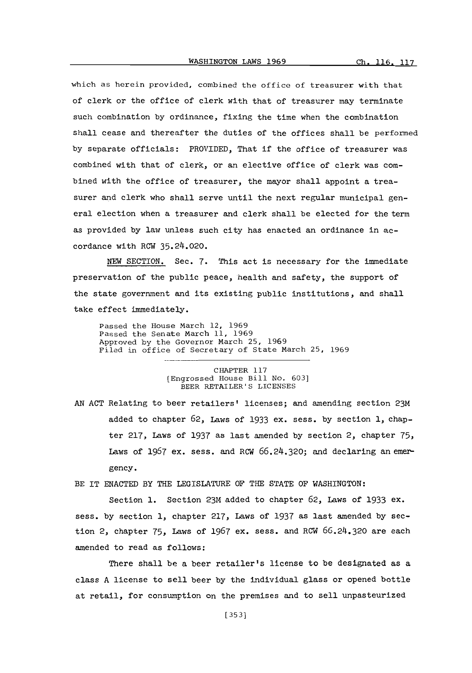which as herein provided, combined the office of treasurer with that of clerk or the office of clerk with that of treasurer may terminate such combination **by** ordinance, fixing the time when the combination shall cease and thereafter the duties of the offices shall be performed **by** separate officials: PROVIDED, That if the office of treasurer was combined with that of clerk, or an elective office of clerk was combined with the office of treasurer, the mayor shall appoint a treasurer and clerk who shall serve until the next regular municipal general election when a treasurer and clerk shall be elected for the term as provided **by** law unless such city has enacted an ordinance in accordance with ROW 35.24.020.

**NEW** SECTION. Sec. **7.** This act is necessary for the immediate preservation of the public peace, health and safety, the support of the state government and its existing public institutions, and shall take effect immediately.

Passed the House March 12, **1969** Passed the Senate March **11, 1969** Approved **by** the Governor March **25, 1969** Filed in office of Secretary of State March **25, 1969**

> CHAPTER **117** (Engrossed House Bill No. **603]** BEER RETAILER'S **LICENSES**

**AN ACT** Relating to beer retailers' licenses; and amending section **23M** added to chapter **62,** laws **of 1933** ex. sess. **by** section **1,** chapter **217,** Laws **of 1937** as last amended **by** section 2, chapter **75,** Laws of **1967** ex. sess. and ROW **66.24.320;** and declaring an emergency.

BE IT **ENACTED** BY THE LEGISLATURE OF THE **STATE** OF WASHINGTON:

Section **1.** Section **23M** added to chapter **62,** laws **of 1933 ex. sess. by** section **1,** chapter **217,** Laws of **1937** as last amended **by** section 2, chapter **75,** laws of **1967** ex. sess. and ROW **66.24.320** are each amended to read as follows:

There shall be a beer retailer's license to be designated as a class **A** license to sell beer **by** the individual glass or opened bottle at retail, for consumption on the premises and to sell unpasteurized